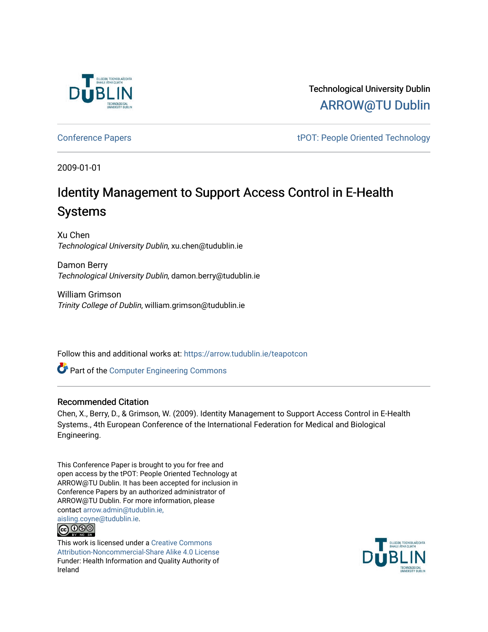

Technological University Dublin [ARROW@TU Dublin](https://arrow.tudublin.ie/) 

[Conference Papers](https://arrow.tudublin.ie/teapotcon) **the Conference Papers** that the state of the technology term in the technology of the state of the state of the state of the state of the state of the state of the state of the state of the state of the

2009-01-01

# Identity Management to Support Access Control in E-Health Systems

Xu Chen Technological University Dublin, xu.chen@tudublin.ie

Damon Berry Technological University Dublin, damon.berry@tudublin.ie

William Grimson Trinity College of Dublin, william.grimson@tudublin.ie

Follow this and additional works at: [https://arrow.tudublin.ie/teapotcon](https://arrow.tudublin.ie/teapotcon?utm_source=arrow.tudublin.ie%2Fteapotcon%2F20&utm_medium=PDF&utm_campaign=PDFCoverPages) 

Part of the [Computer Engineering Commons](http://network.bepress.com/hgg/discipline/258?utm_source=arrow.tudublin.ie%2Fteapotcon%2F20&utm_medium=PDF&utm_campaign=PDFCoverPages) 

# Recommended Citation

Chen, X., Berry, D., & Grimson, W. (2009). Identity Management to Support Access Control in E-Health Systems., 4th European Conference of the International Federation for Medical and Biological Engineering.

This Conference Paper is brought to you for free and open access by the tPOT: People Oriented Technology at ARROW@TU Dublin. It has been accepted for inclusion in Conference Papers by an authorized administrator of ARROW@TU Dublin. For more information, please contact [arrow.admin@tudublin.ie,](mailto:arrow.admin@tudublin.ie,%20aisling.coyne@tudublin.ie)  [aisling.coyne@tudublin.ie.](mailto:arrow.admin@tudublin.ie,%20aisling.coyne@tudublin.ie)



This work is licensed under a [Creative Commons](http://creativecommons.org/licenses/by-nc-sa/4.0/) [Attribution-Noncommercial-Share Alike 4.0 License](http://creativecommons.org/licenses/by-nc-sa/4.0/) Funder: Health Information and Quality Authority of Ireland

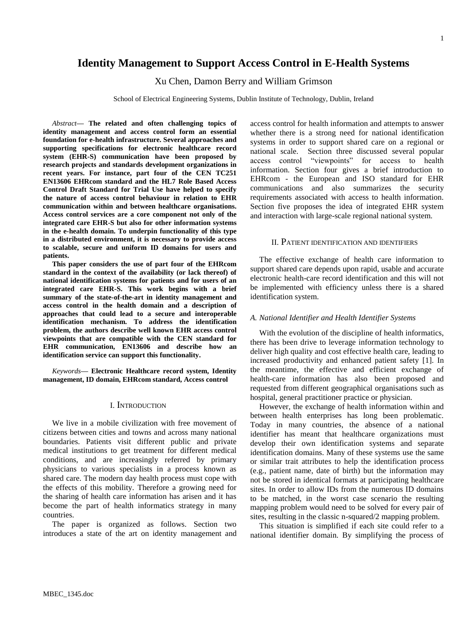# **Identity Management to Support Access Control in E-Health Systems**

Xu Chen, Damon Berry and William Grimson

School of Electrical Engineering Systems, Dublin Institute of Technology, Dublin, Ireland

*Abstract***— The related and often challenging topics of identity management and access control form an essential foundation for e-health infrastructure. Several approaches and supporting specifications for electronic healthcare record system (EHR-S) communication have been proposed by research projects and standards development organizations in recent years. For instance, part four of the CEN TC251 EN13606 EHRcom standard and the HL7 Role Based Access Control Draft Standard for Trial Use have helped to specify the nature of access control behaviour in relation to EHR communication within and between healthcare organisations. Access control services are a core component not only of the integrated care EHR-S but also for other information systems in the e-health domain. To underpin functionality of this type in a distributed environment, it is necessary to provide access to scalable, secure and uniform ID domains for users and patients.** 

**This paper considers the use of part four of the EHRcom standard in the context of the availability (or lack thereof) of national identification systems for patients and for users of an integrated care EHR-S. This work begins with a brief summary of the state-of-the-art in identity management and access control in the health domain and a description of approaches that could lead to a secure and interoperable identification mechanism. To address the identification problem, the authors describe well known EHR access control viewpoints that are compatible with the CEN standard for EHR communication, EN13606 and describe how an identification service can support this functionality.**

*Keywords***— Electronic Healthcare record system, Identity management, ID domain, EHRcom standard, Access control**

## I. INTRODUCTION

We live in a mobile civilization with free movement of citizens between cities and towns and across many national boundaries. Patients visit different public and private medical institutions to get treatment for different medical conditions, and are increasingly referred by primary physicians to various specialists in a process known as shared care. The modern day health process must cope with the effects of this mobility. Therefore a growing need for the sharing of health care information has arisen and it has become the part of health informatics strategy in many countries.

The paper is organized as follows. Section two introduces a state of the art on identity management and

access control for health information and attempts to answer whether there is a strong need for national identification systems in order to support shared care on a regional or national scale. Section three discussed several popular access control "viewpoints" for access to health information. Section four gives a brief introduction to EHRcom - the European and ISO standard for EHR communications and also summarizes the security requirements associated with access to health information. Section five proposes the idea of integrated EHR system and interaction with large-scale regional national system.

#### II. PATIENT IDENTIFICATION AND IDENTIFIERS

The effective exchange of health care information to support shared care depends upon rapid, usable and accurate electronic health-care record identification and this will not be implemented with efficiency unless there is a shared identification system.

#### *A. National Identifier and Health Identifier Systems*

<span id="page-1-0"></span>With the evolution of the discipline of health informatics, there has been drive to leverage information technology to deliver high quality and cost effective health care, leading to increased productivity and enhanced patient safety [\[1\]](#page-7-0). In the meantime, the effective and efficient exchange of health-care information has also been proposed and requested from different geographical organisations such as hospital, general practitioner practice or physician.

However, the exchange of health information within and between health enterprises has long been problematic. Today in many countries, the absence of a national identifier has meant that healthcare organizations must develop their own identification systems and separate identification domains. Many of these systems use the same or similar trait attributes to help the identification process (e.g., patient name, date of birth) but the information may not be stored in identical formats at participating healthcare sites. In order to allow IDs from the numerous ID domains to be matched, in the worst case scenario the resulting mapping problem would need to be solved for every pair of sites, resulting in the classic n-squared/2 mapping problem.

This situation is simplified if each site could refer to a national identifier domain. By simplifying the process of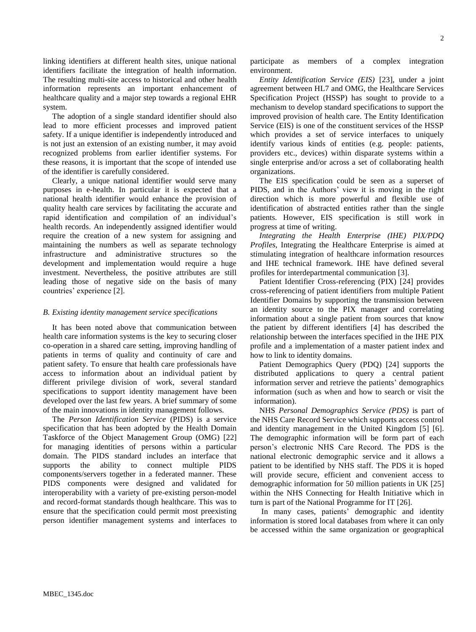linking identifiers at different health sites, unique national identifiers facilitate the integration of health information. The resulting multi-site access to historical and other health information represents an important enhancement of healthcare quality and a major step towards a regional EHR system.

The adoption of a single standard identifier should also lead to more efficient processes and improved patient safety. If a unique identifier is independently introduced and is not just an extension of an existing number, it may avoid recognized problems from earlier identifier systems. For these reasons, it is important that the scope of intended use of the identifier is carefully considered.

Clearly, a unique national identifier would serve many purposes in e-health. In particular it is expected that a national health identifier would enhance the provision of quality health care services by facilitating the accurate and rapid identification and compilation of an individual's health records. An independently assigned identifier would require the creation of a new system for assigning and maintaining the numbers as well as separate technology infrastructure and administrative structures so the development and implementation would require a huge investment. Nevertheless, the positive attributes are still leading those of negative side on the basis of many countries' experience [\[2\]](#page-7-1).

#### <span id="page-2-0"></span>*B. Existing identity management service specifications*

It has been noted above that communication between health care information systems is the key to securing closer co-operation in a shared care setting, improving handling of patients in terms of quality and continuity of care and patient safety. To ensure that health care professionals have access to information about an individual patient by different privilege division of work, several standard specifications to support identity management have been developed over the last few years. A brief summary of some of the main innovations in identity management follows.

The *Person Identification Service* (PIDS) is a service specification that has been adopted by the Health Domain Taskforce of the Object Management Group (OMG) [\[22\]](#page-7-2) for managing identities of persons within a particular domain. The PIDS standard includes an interface that supports the ability to connect multiple PIDS components/servers together in a federated manner. These PIDS components were designed and validated for interoperability with a variety of pre-existing person-model and record-format standards though healthcare. This was to ensure that the specification could permit most preexisting person identifier management systems and interfaces to participate as members of a complex integration environment.

<span id="page-2-5"></span>*Entity Identification Service (EIS)* [\[23\]](#page-7-3), under a joint agreement between HL7 and OMG, the Healthcare Services Specification Project (HSSP) has sought to provide to a mechanism to develop standard specifications to support the improved provision of health care. The Entity Identification Service (EIS) is one of the constituent services of the HSSP which provides a set of service interfaces to uniquely identify various kinds of entities (e.g. people: patients, providers etc., devices) within disparate systems within a single enterprise and/or across a set of collaborating health organizations.

The EIS specification could be seen as a superset of PIDS, and in the Authors' view it is moving in the right direction which is more powerful and flexible use of identification of abstracted entities rather than the single patients. However, EIS specification is still work in progress at time of writing.

*Integrating the Health Enterprise (IHE) PIX/PDQ Profiles*, Integrating the Healthcare Enterprise is aimed at stimulating integration of healthcare information resources and IHE technical framework. IHE have defined several profiles for interdepartmental communication [\[3\]](#page-7-4).

<span id="page-2-6"></span><span id="page-2-1"></span>Patient Identifier Cross-referencing (PIX) [\[24\]](#page-7-5) provides cross-referencing of patient identifiers from multiple Patient Identifier Domains by supporting the transmission between an identity source to the PIX manager and correlating information about a single patient from sources that know the patient by different identifiers [\[4\]](#page-7-6) has described the relationship between the interfaces specified in the IHE PIX profile and a implementation of a master patient index and how to link to identity domains.

<span id="page-2-2"></span>Patient Demographics Query (PDQ) [\[24\]](#page-7-5) supports the distributed applications to query a central patient information server and retrieve the patients' demographics information (such as when and how to search or visit the information).

<span id="page-2-4"></span><span id="page-2-3"></span>NHS *Personal Demographics Service (PDS)* is part of the NHS Care Record Service which supports access control and identity management in the United Kingdom [\[5\]](#page-7-7) [\[6\]](#page-7-8). The demographic information will be form part of each person's electronic NHS Care Record. The PDS is the national electronic demographic service and it allows a patient to be identified by NHS staff. The PDS it is hoped will provide secure, efficient and convenient access to demographic information for 50 million patients in UK [\[25\]](#page-7-9) within the NHS Connecting for Health Initiative which in turn is part of the National Programme for IT [\[26\]](#page-7-10).

<span id="page-2-8"></span><span id="page-2-7"></span>In many cases, patients' demographic and identity information is stored local databases from where it can only be accessed within the same organization or geographical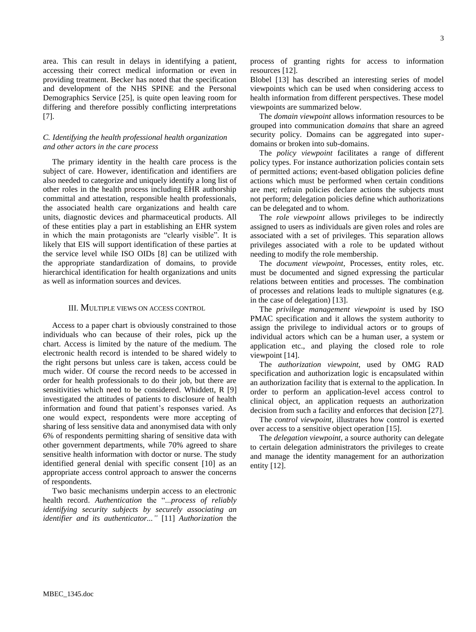area. This can result in delays in identifying a patient, accessing their correct medical information or even in providing treatment. Becker has noted that the specification and development of the NHS SPINE and the Personal Demographics Service [\[25\]](#page-7-9), is quite open leaving room for differing and therefore possibly conflicting interpretations [\[7\]](#page-7-11).

## <span id="page-3-0"></span>*C. Identifying the health professional health organization and other actors in the care process*

The primary identity in the health care process is the subject of care. However, identification and identifiers are also needed to categorize and uniquely identify a long list of other roles in the health process including EHR authorship committal and attestation, responsible health professionals, the associated health care organizations and health care units, diagnostic devices and pharmaceutical products. All of these entities play a part in establishing an EHR system in which the main protagonists are "clearly visible". It is likely that EIS will support identification of these parties at the service level while ISO OIDs [\[8\]](#page-7-12) can be utilized with the appropriate standardization of domains, to provide hierarchical identification for health organizations and units as well as information sources and devices.

# III. MULTIPLE VIEWS ON ACCESS CONTROL

Access to a paper chart is obviously constrained to those individuals who can because of their roles, pick up the chart. Access is limited by the nature of the medium. The electronic health record is intended to be shared widely to the right persons but unless care is taken, access could be much wider. Of course the record needs to be accessed in order for health professionals to do their job, but there are sensitivities which need to be considered. Whiddett, R [\[9\]](#page-7-13) investigated the attitudes of patients to disclosure of health information and found that patient's responses varied. As one would expect, respondents were more accepting of sharing of less sensitive data and anonymised data with only 6% of respondents permitting sharing of sensitive data with other government departments, while 70% agreed to share sensitive health information with doctor or nurse. The study identified general denial with specific consent [\[10\]](#page-7-14) as an appropriate access control approach to answer the concerns of respondents.

<span id="page-3-4"></span>Two basic mechanisms underpin access to an electronic health record. *Authentication* the "...*process of reliably identifying security subjects by securely associating an identifier and its authenticator..."* [\[11\]](#page-7-15) *Authorization* the <span id="page-3-5"></span>process of granting rights for access to information resources [\[12\]](#page-7-16).

<span id="page-3-6"></span>Blobel [\[13\]](#page-7-17) has described an interesting series of model viewpoints which can be used when considering access to health information from different perspectives. These model viewpoints are summarized below.

The *domain viewpoint* allows information resources to be grouped into communication *domains* that share an agreed security policy. Domains can be aggregated into superdomains or broken into sub-domains.

The *policy viewpoint* facilitates a range of different policy types. For instance authorization policies contain sets of permitted actions; event-based obligation policies define actions which must be performed when certain conditions are met; refrain policies declare actions the subjects must not perform; delegation policies define which authorizations can be delegated and to whom.

The *role viewpoint* allows privileges to be indirectly assigned to users as individuals are given roles and roles are associated with a set of privileges. This separation allows privileges associated with a role to be updated without needing to modify the role membership.

<span id="page-3-1"></span>The *document viewpoint,* Processes, entity roles, etc. must be documented and signed expressing the particular relations between entities and processes. The combination of processes and relations leads to multiple signatures (e.g. in the case of delegation) [\[13\]](#page-7-17).

The *privilege management viewpoint* is used by ISO PMAC specification and it allows the system authority to assign the privilege to individual actors or to groups of individual actors which can be a human user, a system or application etc., and playing the closed role to role viewpoint [\[14\]](#page-7-18).

<span id="page-3-7"></span><span id="page-3-2"></span>The *authorization viewpoint*, used by OMG RAD specification and authorization logic is encapsulated within an authorization facility that is external to the application. In order to perform an application-level access control to clinical object, an application requests an authorization decision from such a facility and enforces that decision [\[27\]](#page-7-19).

<span id="page-3-9"></span><span id="page-3-8"></span>The *control viewpoint,* illustrates how control is exerted over access to a sensitive object operation [\[15\]](#page-7-20).

<span id="page-3-3"></span>The *delegation viewpoint,* a source authority can delegate to certain delegation administrators the privileges to create and manage the identity management for an authorization entity [\[12\]](#page-7-16).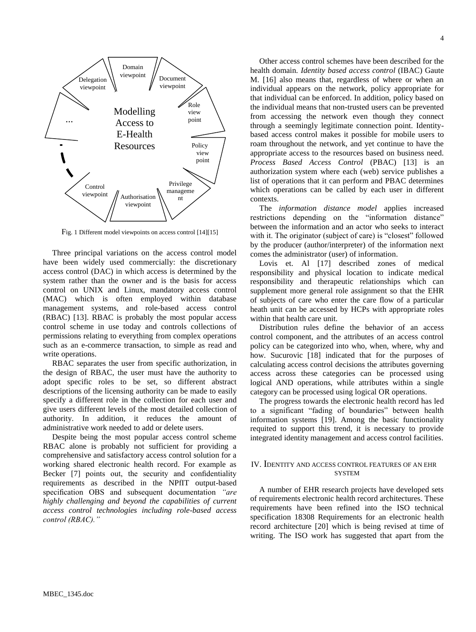

Fig. 1 Different model viewpoints on access control [\[14\]](#page-7-18)[\[15\]](#page-7-20)

Three principal variations on the access control model have been widely used commercially: the discretionary access control (DAC) in which access is determined by the system rather than the owner and is the basis for access control on UNIX and Linux, mandatory access control (MAC) which is often employed within database management systems, and role-based access control (RBAC) [\[13\]](#page-7-17). RBAC is probably the most popular access control scheme in use today and controls collections of permissions relating to everything from complex operations such as an e-commerce transaction, to simple as read and write operations.

RBAC separates the user from specific authorization, in the design of RBAC, the user must have the authority to adopt specific roles to be set, so different abstract descriptions of the licensing authority can be made to easily specify a different role in the collection for each user and give users different levels of the most detailed collection of authority. In addition, it reduces the amount of administrative work needed to add or delete users.

Despite being the most popular access control scheme RBAC alone is probably not sufficient for providing a comprehensive and satisfactory access control solution for a working shared electronic health record. For example as Becker [\[7\]](#page-7-11) points out, the security and confidentiality requirements as described in the NPfIT output-based specification OBS and subsequent documentation *"are highly challenging and beyond the capabilities of current access control technologies including role-based access control (RBAC)."*

<span id="page-4-0"></span>Other access control schemes have been described for the health domain. *Identity based access control* (IBAC) Gaute M. [\[16\]](#page-7-21) also means that, regardless of where or when an individual appears on the network, policy appropriate for that individual can be enforced. In addition, policy based on the individual means that non-trusted users can be prevented from accessing the network even though they connect through a seemingly legitimate connection point. Identitybased access control makes it possible for mobile users to

roam throughout the network, and yet continue to have the appropriate access to the resources based on business need. *Process Based Access Control* (PBAC) [\[13\]](#page-7-17) is an authorization system where each (web) service publishes a list of operations that it can perform and PBAC determines which operations can be called by each user in different contexts.

The *information distance model* applies increased restrictions depending on the "information distance" between the information and an actor who seeks to interact with it. The originator (subject of care) is "closest" followed by the producer (author/interpreter) of the information next comes the administrator (user) of information.

<span id="page-4-1"></span>Lovis et. Al [\[17\]](#page-7-22) described zones of medical responsibility and physical location to indicate medical responsibility and therapeutic relationships which can supplement more general role assignment so that the EHR of subjects of care who enter the care flow of a particular heath unit can be accessed by HCPs with appropriate roles within that health care unit.

<span id="page-4-2"></span>Distribution rules define the behavior of an access control component, and the attributes of an access control policy can be categorized into who, when, where, why and how. Sucurovic [\[18\]](#page-7-23) indicated that for the purposes of calculating access control decisions the attributes governing access across these categories can be processed using logical AND operations, while attributes within a single category can be processed using logical OR operations.

<span id="page-4-3"></span>The progress towards the electronic health record has led to a significant "fading of boundaries" between health information systems [\[19\]](#page-7-24). Among the basic functionality requited to support this trend, it is necessary to provide integrated identity management and access control facilities.

#### IV. IDENTITY AND ACCESS CONTROL FEATURES OF AN EHR **SYSTEM**

<span id="page-4-4"></span>A number of EHR research projects have developed sets of requirements electronic health record architectures. These requirements have been refined into the ISO technical specification 18308 Requirements for an electronic health record architecture [\[20\]](#page-7-25) which is being revised at time of writing. The ISO work has suggested that apart from the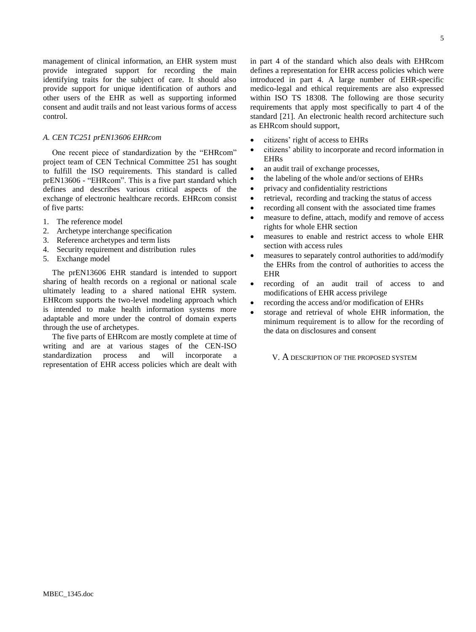management of clinical information, an EHR system must provide integrated support for recording the main identifying traits for the subject of care. It should also provide support for unique identification of authors and other users of the EHR as well as supporting informed consent and audit trails and not least various forms of access control.

## *A. CEN TC251 prEN13606 EHRcom*

One recent piece of standardization by the "EHRcom" project team of CEN Technical Committee 251 has sought to fulfill the ISO requirements. This standard is called prEN13606 - "EHRcom". This is a five part standard which defines and describes various critical aspects of the exchange of electronic healthcare records. EHRcom consist of five parts:

- 1. The reference model
- 2. Archetype interchange specification
- 3. Reference archetypes and term lists
- 4. Security requirement and distribution rules
- 5. Exchange model

The prEN13606 EHR standard is intended to support sharing of health records on a regional or national scale ultimately leading to a shared national EHR system. EHRcom supports the two-level modeling approach which is intended to make health information systems more adaptable and more under the control of domain experts through the use of archetypes.

The five parts of EHRcom are mostly complete at time of writing and are at various stages of the CEN-ISO standardization process and will incorporate a representation of EHR access policies which are dealt with

in part 4 of the standard which also deals with EHRcom defines a representation for EHR access policies which were introduced in part 4. A large number of EHR-specific medico-legal and ethical requirements are also expressed within ISO TS 18308. The following are those security requirements that apply most specifically to part 4 of the standard [\[21\]](#page-7-26). An electronic health record architecture such as EHRcom should support,

- <span id="page-5-0"></span>citizens' right of access to EHRs
- citizens' ability to incorporate and record information in EHRs
- an audit trail of exchange processes,
- the labeling of the whole and/or sections of EHRs
- privacy and confidentiality restrictions
- retrieval, recording and tracking the status of access
- recording all consent with the associated time frames
- measure to define, attach, modify and remove of access rights for whole EHR section
- measures to enable and restrict access to whole EHR section with access rules
- measures to separately control authorities to add/modify the EHRs from the control of authorities to access the EHR
- recording of an audit trail of access to and modifications of EHR access privilege
- recording the access and/or modification of EHRs
- storage and retrieval of whole EHR information, the minimum requirement is to allow for the recording of the data on disclosures and consent

V. A DESCRIPTION OF THE PROPOSED SYSTEM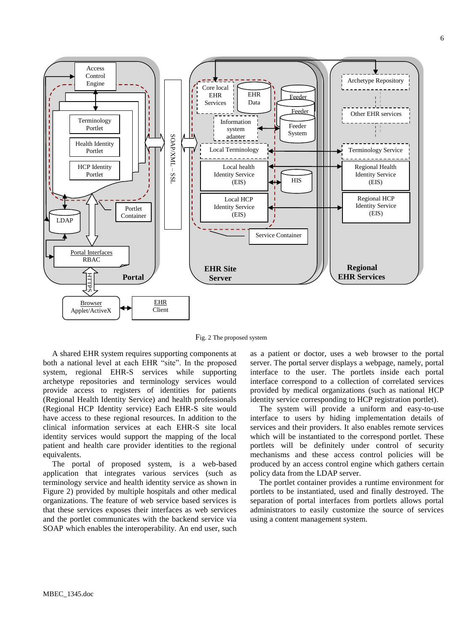

Fig. 2 The proposed system

A shared EHR system requires supporting components at both a national level at each EHR "site". In the proposed system, regional EHR-S services while supporting archetype repositories and terminology services would provide access to registers of identities for patients (Regional Health Identity Service) and health professionals (Regional HCP Identity service) Each EHR-S site would have access to these regional resources. In addition to the clinical information services at each EHR-S site local identity services would support the mapping of the local patient and health care provider identities to the regional equivalents.

The portal of proposed system, is a web-based application that integrates various services (such as terminology service and health identity service as shown in Figure 2) provided by multiple hospitals and other medical organizations. The feature of web service based services is that these services exposes their interfaces as web services and the portlet communicates with the backend service via SOAP which enables the interoperability. An end user, such

as a patient or doctor, uses a web browser to the portal server. The portal server displays a webpage, namely, portal interface to the user. The portlets inside each portal interface correspond to a collection of correlated services provided by medical organizations (such as national HCP identity service corresponding to HCP registration portlet).

The system will provide a uniform and easy-to-use interface to users by hiding implementation details of services and their providers. It also enables remote services which will be instantiated to the correspond portlet. These portlets will be definitely under control of security mechanisms and these access control policies will be produced by an access control engine which gathers certain policy data from the LDAP server.

The portlet container provides a runtime environment for portlets to be instantiated, used and finally destroyed. The separation of portal interfaces from portlets allows portal administrators to easily customize the source of services using a content management system.